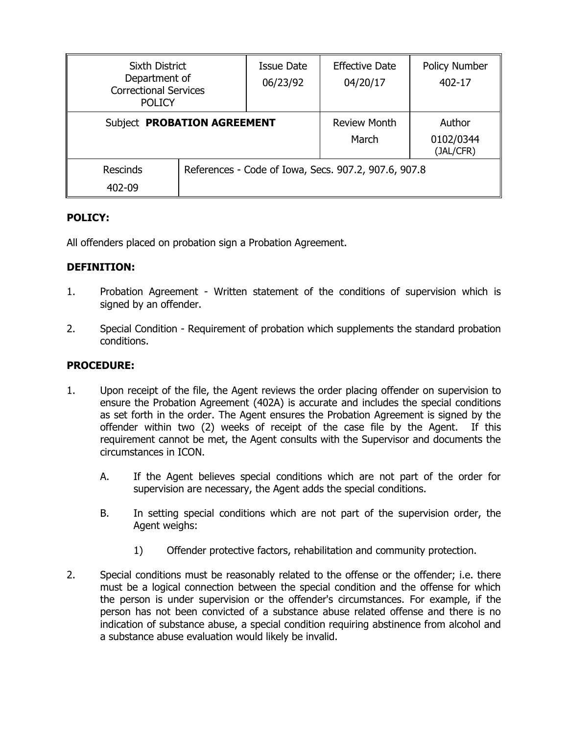| <b>Sixth District</b><br>Department of<br><b>Correctional Services</b><br><b>POLICY</b> |  | Issue Date<br>06/23/92                               | <b>Effective Date</b><br>04/20/17 | <b>Policy Number</b><br>$402 - 17$ |
|-----------------------------------------------------------------------------------------|--|------------------------------------------------------|-----------------------------------|------------------------------------|
| Subject PROBATION AGREEMENT                                                             |  | <b>Review Month</b><br>March                         | Author<br>0102/0344<br>(JAL/CFR)  |                                    |
| <b>Rescinds</b><br>402-09                                                               |  | References - Code of Iowa, Secs. 907.2, 907.6, 907.8 |                                   |                                    |

# **POLICY:**

All offenders placed on probation sign a Probation Agreement.

# **DEFINITION:**

- 1. Probation Agreement Written statement of the conditions of supervision which is signed by an offender.
- 2. Special Condition Requirement of probation which supplements the standard probation conditions.

# **PROCEDURE:**

- 1. Upon receipt of the file, the Agent reviews the order placing offender on supervision to ensure the Probation Agreement (402A) is accurate and includes the special conditions as set forth in the order. The Agent ensures the Probation Agreement is signed by the offender within two (2) weeks of receipt of the case file by the Agent. If this requirement cannot be met, the Agent consults with the Supervisor and documents the circumstances in ICON.
	- A. If the Agent believes special conditions which are not part of the order for supervision are necessary, the Agent adds the special conditions.
	- B. In setting special conditions which are not part of the supervision order, the Agent weighs:
		- 1) Offender protective factors, rehabilitation and community protection.
- 2. Special conditions must be reasonably related to the offense or the offender; i.e. there must be a logical connection between the special condition and the offense for which the person is under supervision or the offender's circumstances. For example, if the person has not been convicted of a substance abuse related offense and there is no indication of substance abuse, a special condition requiring abstinence from alcohol and a substance abuse evaluation would likely be invalid.